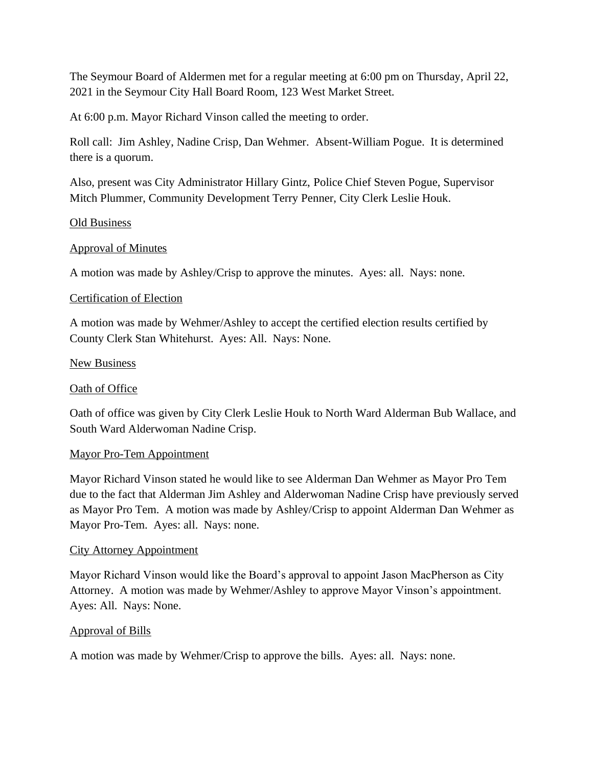The Seymour Board of Aldermen met for a regular meeting at 6:00 pm on Thursday, April 22, 2021 in the Seymour City Hall Board Room, 123 West Market Street.

At 6:00 p.m. Mayor Richard Vinson called the meeting to order.

Roll call: Jim Ashley, Nadine Crisp, Dan Wehmer. Absent-William Pogue. It is determined there is a quorum.

Also, present was City Administrator Hillary Gintz, Police Chief Steven Pogue, Supervisor Mitch Plummer, Community Development Terry Penner, City Clerk Leslie Houk.

### Old Business

### Approval of Minutes

A motion was made by Ashley/Crisp to approve the minutes. Ayes: all. Nays: none.

### Certification of Election

A motion was made by Wehmer/Ashley to accept the certified election results certified by County Clerk Stan Whitehurst. Ayes: All. Nays: None.

### New Business

### Oath of Office

Oath of office was given by City Clerk Leslie Houk to North Ward Alderman Bub Wallace, and South Ward Alderwoman Nadine Crisp.

### Mayor Pro-Tem Appointment

Mayor Richard Vinson stated he would like to see Alderman Dan Wehmer as Mayor Pro Tem due to the fact that Alderman Jim Ashley and Alderwoman Nadine Crisp have previously served as Mayor Pro Tem. A motion was made by Ashley/Crisp to appoint Alderman Dan Wehmer as Mayor Pro-Tem. Ayes: all. Nays: none.

### City Attorney Appointment

Mayor Richard Vinson would like the Board's approval to appoint Jason MacPherson as City Attorney. A motion was made by Wehmer/Ashley to approve Mayor Vinson's appointment. Ayes: All. Nays: None.

### Approval of Bills

A motion was made by Wehmer/Crisp to approve the bills. Ayes: all. Nays: none.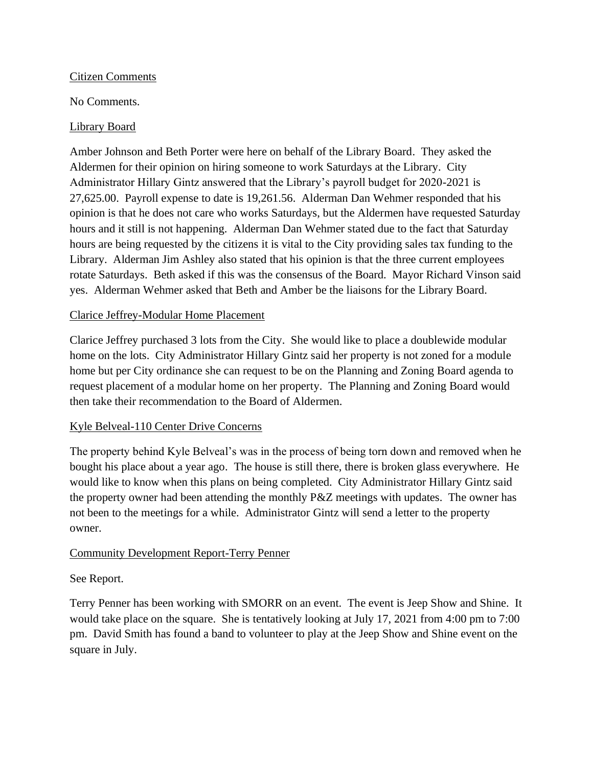## Citizen Comments

# No Comments.

## Library Board

Amber Johnson and Beth Porter were here on behalf of the Library Board. They asked the Aldermen for their opinion on hiring someone to work Saturdays at the Library. City Administrator Hillary Gintz answered that the Library's payroll budget for 2020-2021 is 27,625.00. Payroll expense to date is 19,261.56. Alderman Dan Wehmer responded that his opinion is that he does not care who works Saturdays, but the Aldermen have requested Saturday hours and it still is not happening. Alderman Dan Wehmer stated due to the fact that Saturday hours are being requested by the citizens it is vital to the City providing sales tax funding to the Library. Alderman Jim Ashley also stated that his opinion is that the three current employees rotate Saturdays. Beth asked if this was the consensus of the Board. Mayor Richard Vinson said yes. Alderman Wehmer asked that Beth and Amber be the liaisons for the Library Board.

### Clarice Jeffrey-Modular Home Placement

Clarice Jeffrey purchased 3 lots from the City. She would like to place a doublewide modular home on the lots. City Administrator Hillary Gintz said her property is not zoned for a module home but per City ordinance she can request to be on the Planning and Zoning Board agenda to request placement of a modular home on her property. The Planning and Zoning Board would then take their recommendation to the Board of Aldermen.

# Kyle Belveal-110 Center Drive Concerns

The property behind Kyle Belveal's was in the process of being torn down and removed when he bought his place about a year ago. The house is still there, there is broken glass everywhere. He would like to know when this plans on being completed. City Administrator Hillary Gintz said the property owner had been attending the monthly P&Z meetings with updates. The owner has not been to the meetings for a while. Administrator Gintz will send a letter to the property owner.

# Community Development Report-Terry Penner

### See Report.

Terry Penner has been working with SMORR on an event. The event is Jeep Show and Shine. It would take place on the square. She is tentatively looking at July 17, 2021 from 4:00 pm to 7:00 pm. David Smith has found a band to volunteer to play at the Jeep Show and Shine event on the square in July.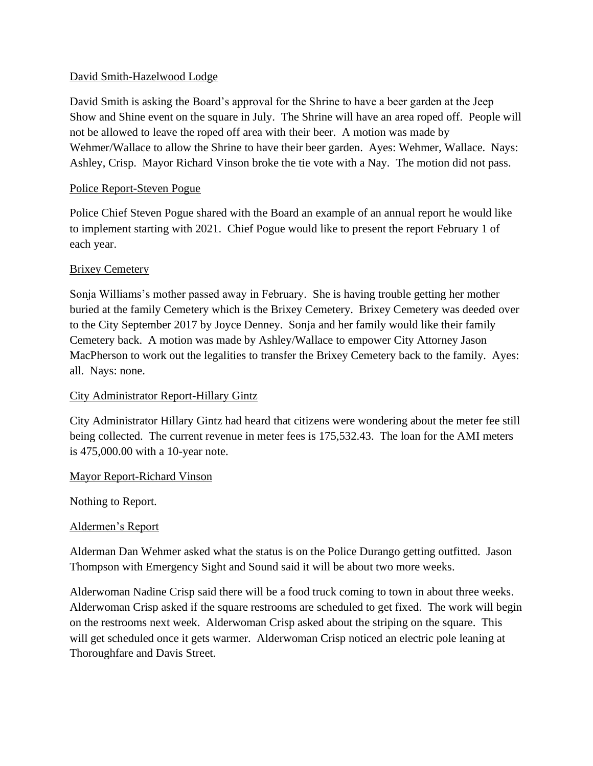## David Smith-Hazelwood Lodge

David Smith is asking the Board's approval for the Shrine to have a beer garden at the Jeep Show and Shine event on the square in July. The Shrine will have an area roped off. People will not be allowed to leave the roped off area with their beer. A motion was made by Wehmer/Wallace to allow the Shrine to have their beer garden. Ayes: Wehmer, Wallace. Nays: Ashley, Crisp. Mayor Richard Vinson broke the tie vote with a Nay. The motion did not pass.

# Police Report-Steven Pogue

Police Chief Steven Pogue shared with the Board an example of an annual report he would like to implement starting with 2021. Chief Pogue would like to present the report February 1 of each year.

### Brixey Cemetery

Sonja Williams's mother passed away in February. She is having trouble getting her mother buried at the family Cemetery which is the Brixey Cemetery. Brixey Cemetery was deeded over to the City September 2017 by Joyce Denney. Sonja and her family would like their family Cemetery back. A motion was made by Ashley/Wallace to empower City Attorney Jason MacPherson to work out the legalities to transfer the Brixey Cemetery back to the family. Ayes: all. Nays: none.

# City Administrator Report-Hillary Gintz

City Administrator Hillary Gintz had heard that citizens were wondering about the meter fee still being collected. The current revenue in meter fees is 175,532.43. The loan for the AMI meters is 475,000.00 with a 10-year note.

### Mayor Report-Richard Vinson

Nothing to Report.

### Aldermen's Report

Alderman Dan Wehmer asked what the status is on the Police Durango getting outfitted. Jason Thompson with Emergency Sight and Sound said it will be about two more weeks.

Alderwoman Nadine Crisp said there will be a food truck coming to town in about three weeks. Alderwoman Crisp asked if the square restrooms are scheduled to get fixed. The work will begin on the restrooms next week. Alderwoman Crisp asked about the striping on the square. This will get scheduled once it gets warmer. Alderwoman Crisp noticed an electric pole leaning at Thoroughfare and Davis Street.